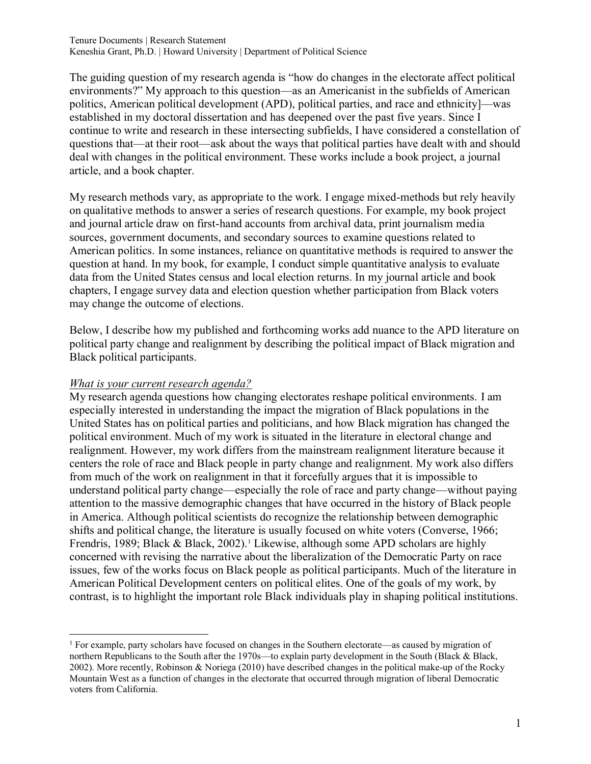The guiding question of my research agenda is "how do changes in the electorate affect political environments?" My approach to this question—as an Americanist in the subfields of American politics, American political development (APD), political parties, and race and ethnicity]—was established in my doctoral dissertation and has deepened over the past five years. Since I continue to write and research in these intersecting subfields, I have considered a constellation of questions that—at their root—ask about the ways that political parties have dealt with and should deal with changes in the political environment. These works include a book project, a journal article, and a book chapter.

My research methods vary, as appropriate to the work. I engage mixed-methods but rely heavily on qualitative methods to answer a series of research questions. For example, my book project and journal article draw on first-hand accounts from archival data, print journalism media sources, government documents, and secondary sources to examine questions related to American politics. In some instances, reliance on quantitative methods is required to answer the question at hand. In my book, for example, I conduct simple quantitative analysis to evaluate data from the United States census and local election returns. In my journal article and book chapters, I engage survey data and election question whether participation from Black voters may change the outcome of elections.

Below, I describe how my published and forthcoming works add nuance to the APD literature on political party change and realignment by describing the political impact of Black migration and Black political participants.

#### *What is your current research agenda?*

My research agenda questions how changing electorates reshape political environments. I am especially interested in understanding the impact the migration of Black populations in the United States has on political parties and politicians, and how Black migration has changed the political environment. Much of my work is situated in the literature in electoral change and realignment. However, my work differs from the mainstream realignment literature because it centers the role of race and Black people in party change and realignment. My work also differs from much of the work on realignment in that it forcefully argues that it is impossible to understand political party change—especially the role of race and party change—without paying attention to the massive demographic changes that have occurred in the history of Black people in America. Although political scientists do recognize the relationship between demographic shifts and political change, the literature is usually focused on white voters (Converse, 1966; Frendris, 1989; Black & Black, 2002).<sup>1</sup> Likewise, although some APD scholars are highly concerned with revising the narrative about the liberalization of the Democratic Party on race issues, few of the works focus on Black people as political participants. Much of the literature in American Political Development centers on political elites. One of the goals of my work, by contrast, is to highlight the important role Black individuals play in shaping political institutions.

 $\overline{a}$ <sup>1</sup> For example, party scholars have focused on changes in the Southern electorate—as caused by migration of northern Republicans to the South after the 1970s—to explain party development in the South (Black & Black, 2002). More recently, Robinson & Noriega (2010) have described changes in the political make-up of the Rocky Mountain West as a function of changes in the electorate that occurred through migration of liberal Democratic voters from California.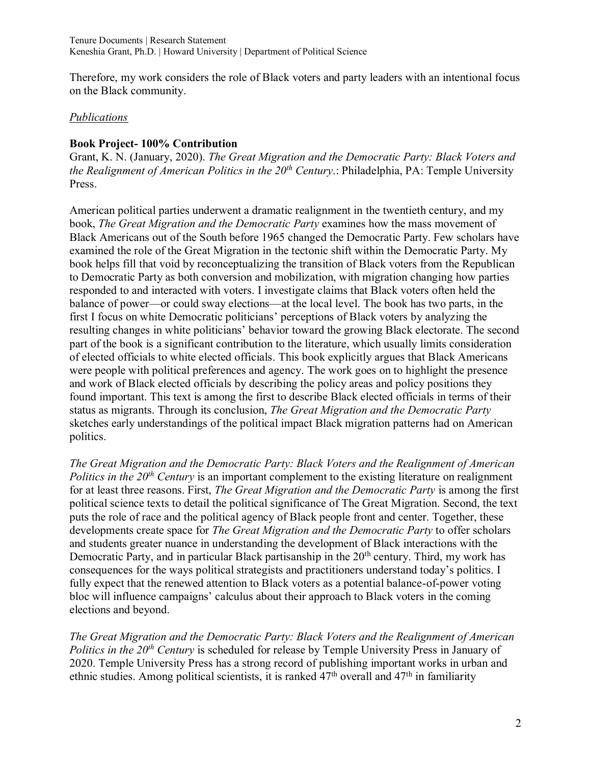Therefore, my work considers the role of Black voters and party leaders with an intentional focus on the Black community.

# *Publications*

# **Book Project- 100% Contribution**

Grant, K. N. (January, 2020). *The Great Migration and the Democratic Party: Black Voters and the Realignment of American Politics in the 20th Century*.: Philadelphia, PA: Temple University Press.

American political parties underwent a dramatic realignment in the twentieth century, and my book, *The Great Migration and the Democratic Party* examines how the mass movement of Black Americans out of the South before 1965 changed the Democratic Party. Few scholars have examined the role of the Great Migration in the tectonic shift within the Democratic Party. My book helps fill that void by reconceptualizing the transition of Black voters from the Republican to Democratic Party as both conversion and mobilization, with migration changing how parties responded to and interacted with voters. I investigate claims that Black voters often held the balance of power—or could sway elections—at the local level. The book has two parts, in the first I focus on white Democratic politicians' perceptions of Black voters by analyzing the resulting changes in white politicians' behavior toward the growing Black electorate. The second part of the book is a significant contribution to the literature, which usually limits consideration of elected officials to white elected officials. This book explicitly argues that Black Americans were people with political preferences and agency. The work goes on to highlight the presence and work of Black elected officials by describing the policy areas and policy positions they found important. This text is among the first to describe Black elected officials in terms of their status as migrants. Through its conclusion, *The Great Migration and the Democratic Party*  sketches early understandings of the political impact Black migration patterns had on American politics.

*The Great Migration and the Democratic Party: Black Voters and the Realignment of American Politics in the 20th Century* is an important complement to the existing literature on realignment for at least three reasons. First, *The Great Migration and the Democratic Party* is among the first political science texts to detail the political significance of The Great Migration. Second, the text puts the role of race and the political agency of Black people front and center. Together, these developments create space for *The Great Migration and the Democratic Party* to offer scholars and students greater nuance in understanding the development of Black interactions with the Democratic Party, and in particular Black partisanship in the 20<sup>th</sup> century. Third, my work has consequences for the ways political strategists and practitioners understand today's politics. I fully expect that the renewed attention to Black voters as a potential balance-of-power voting bloc will influence campaigns' calculus about their approach to Black voters in the coming elections and beyond.

*The Great Migration and the Democratic Party: Black Voters and the Realignment of American Politics in the 20th Century* is scheduled for release by Temple University Press in January of 2020. Temple University Press has a strong record of publishing important works in urban and ethnic studies. Among political scientists, it is ranked  $47<sup>th</sup>$  overall and  $47<sup>th</sup>$  in familiarity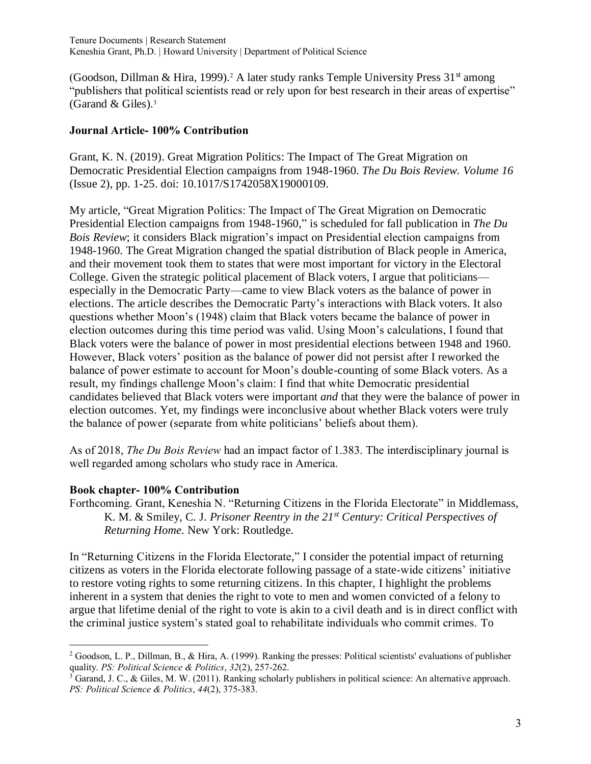(Goodson, Dillman & Hira, 1999).<sup>2</sup> A later study ranks Temple University Press  $31<sup>st</sup>$  among "publishers that political scientists read or rely upon for best research in their areas of expertise" (Garand  $&$  Giles).<sup>3</sup>

## **Journal Article- 100% Contribution**

Grant, K. N. (2019). Great Migration Politics: The Impact of The Great Migration on Democratic Presidential Election campaigns from 1948-1960. *The Du Bois Review. Volume 16* (Issue 2), pp. 1-25. doi: 10.1017/S1742058X19000109.

My article, "Great Migration Politics: The Impact of The Great Migration on Democratic Presidential Election campaigns from 1948-1960," is scheduled for fall publication in *The Du Bois Review*; it considers Black migration's impact on Presidential election campaigns from 1948-1960. The Great Migration changed the spatial distribution of Black people in America, and their movement took them to states that were most important for victory in the Electoral College. Given the strategic political placement of Black voters, I argue that politicians especially in the Democratic Party—came to view Black voters as the balance of power in elections. The article describes the Democratic Party's interactions with Black voters. It also questions whether Moon's (1948) claim that Black voters became the balance of power in election outcomes during this time period was valid. Using Moon's calculations, I found that Black voters were the balance of power in most presidential elections between 1948 and 1960. However, Black voters' position as the balance of power did not persist after I reworked the balance of power estimate to account for Moon's double-counting of some Black voters. As a result, my findings challenge Moon's claim: I find that white Democratic presidential candidates believed that Black voters were important *and* that they were the balance of power in election outcomes. Yet, my findings were inconclusive about whether Black voters were truly the balance of power (separate from white politicians' beliefs about them).

As of 2018, *The Du Bois Review* had an impact factor of 1.383. The interdisciplinary journal is well regarded among scholars who study race in America.

#### **Book chapter- 100% Contribution**

 $\overline{a}$ 

Forthcoming. Grant, Keneshia N. "Returning Citizens in the Florida Electorate" in Middlemass, K. M. & Smiley, C. J. *Prisoner Reentry in the 21st Century: Critical Perspectives of Returning Home.* New York: Routledge.

In "Returning Citizens in the Florida Electorate," I consider the potential impact of returning citizens as voters in the Florida electorate following passage of a state-wide citizens' initiative to restore voting rights to some returning citizens. In this chapter, I highlight the problems inherent in a system that denies the right to vote to men and women convicted of a felony to argue that lifetime denial of the right to vote is akin to a civil death and is in direct conflict with the criminal justice system's stated goal to rehabilitate individuals who commit crimes. To

<sup>&</sup>lt;sup>2</sup> Goodson, L. P., Dillman, B., & Hira, A. (1999). Ranking the presses: Political scientists' evaluations of publisher quality. *PS: Political Science & Politics*, *32*(2), 257-262.

<sup>&</sup>lt;sup>3</sup> Garand, J. C., & Giles, M. W. (2011). Ranking scholarly publishers in political science: An alternative approach. *PS: Political Science & Politics*, *44*(2), 375-383.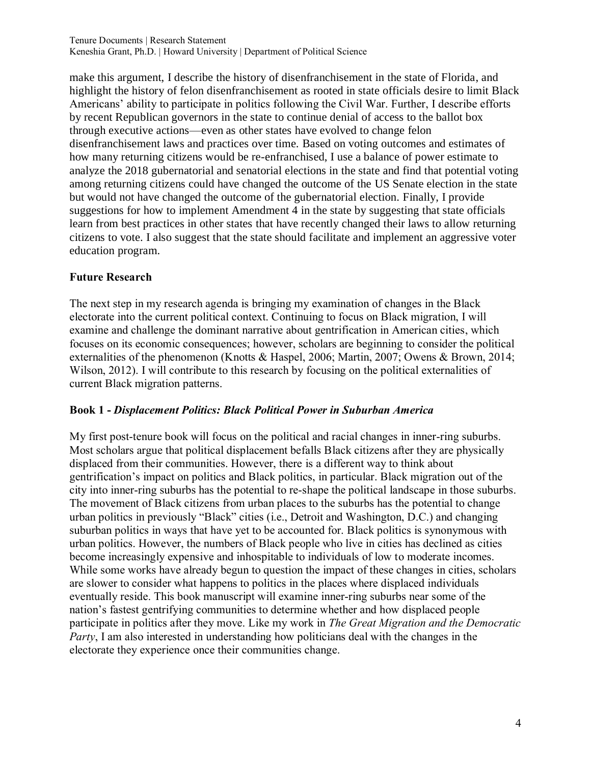make this argument, I describe the history of disenfranchisement in the state of Florida, and highlight the history of felon disenfranchisement as rooted in state officials desire to limit Black Americans' ability to participate in politics following the Civil War. Further, I describe efforts by recent Republican governors in the state to continue denial of access to the ballot box through executive actions—even as other states have evolved to change felon disenfranchisement laws and practices over time. Based on voting outcomes and estimates of how many returning citizens would be re-enfranchised, I use a balance of power estimate to analyze the 2018 gubernatorial and senatorial elections in the state and find that potential voting among returning citizens could have changed the outcome of the US Senate election in the state but would not have changed the outcome of the gubernatorial election. Finally, I provide suggestions for how to implement Amendment 4 in the state by suggesting that state officials learn from best practices in other states that have recently changed their laws to allow returning citizens to vote. I also suggest that the state should facilitate and implement an aggressive voter education program.

## **Future Research**

The next step in my research agenda is bringing my examination of changes in the Black electorate into the current political context. Continuing to focus on Black migration, I will examine and challenge the dominant narrative about gentrification in American cities, which focuses on its economic consequences; however, scholars are beginning to consider the political externalities of the phenomenon (Knotts & Haspel, 2006; Martin, 2007; Owens & Brown, 2014; Wilson, 2012). I will contribute to this research by focusing on the political externalities of current Black migration patterns.

## **Book 1 -** *Displacement Politics: Black Political Power in Suburban America*

My first post-tenure book will focus on the political and racial changes in inner-ring suburbs. Most scholars argue that political displacement befalls Black citizens after they are physically displaced from their communities. However, there is a different way to think about gentrification's impact on politics and Black politics, in particular. Black migration out of the city into inner-ring suburbs has the potential to re-shape the political landscape in those suburbs. The movement of Black citizens from urban places to the suburbs has the potential to change urban politics in previously "Black" cities (i.e., Detroit and Washington, D.C.) and changing suburban politics in ways that have yet to be accounted for. Black politics is synonymous with urban politics. However, the numbers of Black people who live in cities has declined as cities become increasingly expensive and inhospitable to individuals of low to moderate incomes. While some works have already begun to question the impact of these changes in cities, scholars are slower to consider what happens to politics in the places where displaced individuals eventually reside. This book manuscript will examine inner-ring suburbs near some of the nation's fastest gentrifying communities to determine whether and how displaced people participate in politics after they move. Like my work in *The Great Migration and the Democratic Party*, I am also interested in understanding how politicians deal with the changes in the electorate they experience once their communities change.